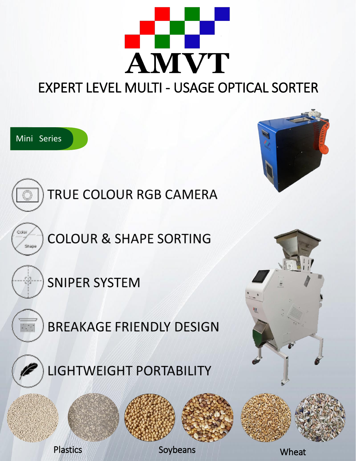

#### EXPERT LEVEL MULTI - USAGE OPTICAL SORTER

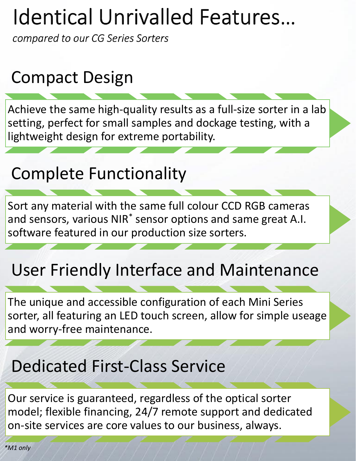# **Identical Unrivalled Features...**

compared to our CG Series Sorters

### Compact Design

Achieve the same high-quality results as a full-size sorter in a lab setting, perfect for small samples and dockage testing, with a lightweight design for extreme portability.

### Complete Functionality

Sort any material with the same full colour CCD RGB cameras and sensors, various NIR<sup>\*</sup> sensor options and same great A.I. software featured in our production size sorters.

### User Friendly Interface and Maintenance

The unique and accessible configuration of each Mini Series sorter, all featuring an LED touch screen, allow for simple useage and worry-free maintenance.

#### Dedicated First-Class Service

Our service is guaranteed, regardless of the optical sorter model; flexible financing, 24/7 remote support and dedicated on-site services are core values to our business, always.

*\*M1 only*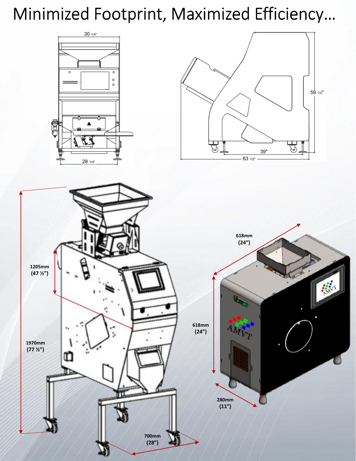## Minimized Footprint, Maximized Efficiency...